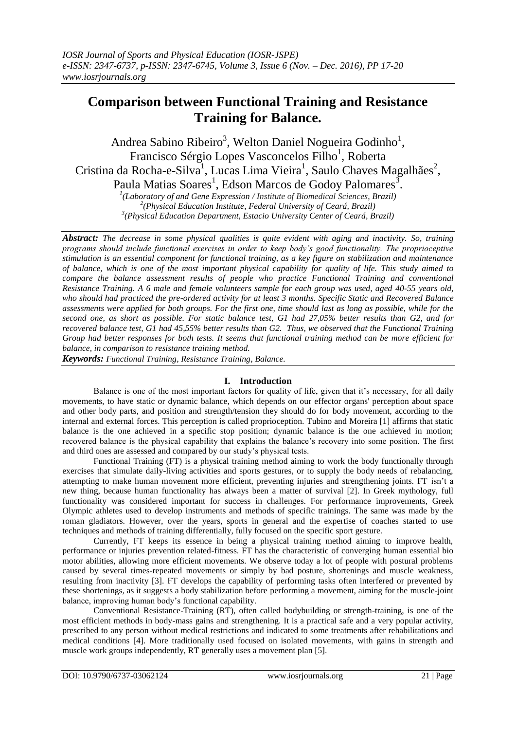# **Comparison between Functional Training and Resistance Training for Balance.**

Andrea Sabino Ribeiro<sup>3</sup>, Welton Daniel Nogueira Godinho<sup>1</sup>, Francisco Sérgio Lopes Vasconcelos Filho<sup>1</sup>, Roberta Cristina da Rocha-e-Silva<sup>1</sup>, Lucas Lima Vieira<sup>1</sup>, Saulo Chaves Magalhães<sup>2</sup>, Paula Matias Soares<sup>1</sup>, Edson Marcos de Godoy Palomares<sup>3</sup>.

*1 (Laboratory of and Gene Expression / Institute of Biomedical Sciences, Brazil) 2 (Physical Education Institute, Federal University of Ceará, Brazil) 3 (Physical Education Department, Estacio University Center of Ceará, Brazil)*

*Abstract: The decrease in some physical qualities is quite evident with aging and inactivity. So, training programs should include functional exercises in order to keep body's good functionality. The proprioceptive stimulation is an essential component for functional training, as a key figure on stabilization and maintenance of balance, which is one of the most important physical capability for quality of life. This study aimed to compare the balance assessment results of people who practice Functional Training and conventional Resistance Training. A 6 male and female volunteers sample for each group was used, aged 40-55 years old, who should had practiced the pre-ordered activity for at least 3 months. Specific Static and Recovered Balance assessments were applied for both groups. For the first one, time should last as long as possible, while for the second one, as short as possible. For static balance test, G1 had 27,05% better results than G2, and for recovered balance test, G1 had 45,55% better results than G2. Thus, we observed that the Functional Training Group had better responses for both tests. It seems that functional training method can be more efficient for balance, in comparison to resistance training method.*

*Keywords: Functional Training, Resistance Training, Balance.*

# **I. Introduction**

Balance is one of the most important factors for quality of life, given that it's necessary, for all daily movements, to have static or dynamic balance, which depends on our effector organs' perception about space and other body parts, and position and strength/tension they should do for body movement, according to the internal and external forces. This perception is called proprioception. Tubino and Moreira [1] affirms that static balance is the one achieved in a specific stop position; dynamic balance is the one achieved in motion; recovered balance is the physical capability that explains the balance's recovery into some position. The first and third ones are assessed and compared by our study's physical tests.

Functional Training (FT) is a physical training method aiming to work the body functionally through exercises that simulate daily-living activities and sports gestures, or to supply the body needs of rebalancing, attempting to make human movement more efficient, preventing injuries and strengthening joints. FT isn't a new thing, because human functionality has always been a matter of survival [2]. In Greek mythology, full functionality was considered important for success in challenges. For performance improvements, Greek Olympic athletes used to develop instruments and methods of specific trainings. The same was made by the roman gladiators. However, over the years, sports in general and the expertise of coaches started to use techniques and methods of training differentially, fully focused on the specific sport gesture.

Currently, FT keeps its essence in being a physical training method aiming to improve health, performance or injuries prevention related-fitness. FT has the characteristic of converging human essential bio motor abilities, allowing more efficient movements. We observe today a lot of people with postural problems caused by several times-repeated movements or simply by bad posture, shortenings and muscle weakness, resulting from inactivity [3]. FT develops the capability of performing tasks often interfered or prevented by these shortenings, as it suggests a body stabilization before performing a movement, aiming for the muscle-joint balance, improving human body's functional capability.

Conventional Resistance-Training (RT), often called bodybuilding or strength-training, is one of the most efficient methods in body-mass gains and strengthening. It is a practical safe and a very popular activity, prescribed to any person without medical restrictions and indicated to some treatments after rehabilitations and medical conditions [4]. More traditionally used focused on isolated movements, with gains in strength and muscle work groups independently, RT generally uses a movement plan [5].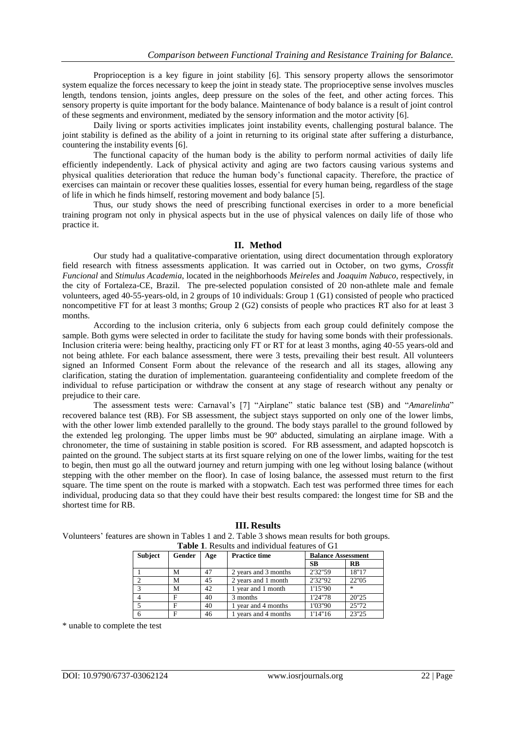Proprioception is a key figure in joint stability [6]. This sensory property allows the sensorimotor system equalize the forces necessary to keep the joint in steady state. The proprioceptive sense involves muscles length, tendons tension, joints angles, deep pressure on the soles of the feet, and other acting forces. This sensory property is quite important for the body balance. Maintenance of body balance is a result of joint control of these segments and environment, mediated by the sensory information and the motor activity [6].

Daily living or sports activities implicates joint instability events, challenging postural balance. The joint stability is defined as the ability of a joint in returning to its original state after suffering a disturbance, countering the instability events [6].

The functional capacity of the human body is the ability to perform normal activities of daily life efficiently independently. Lack of physical activity and aging are two factors causing various systems and physical qualities deterioration that reduce the human body's functional capacity. Therefore, the practice of exercises can maintain or recover these qualities losses, essential for every human being, regardless of the stage of life in which he finds himself, restoring movement and body balance [5].

Thus, our study shows the need of prescribing functional exercises in order to a more beneficial training program not only in physical aspects but in the use of physical valences on daily life of those who practice it.

#### **II. Method**

Our study had a qualitative-comparative orientation, using direct documentation through exploratory field research with fitness assessments application. It was carried out in October, on two gyms, *Crossfit Funcional* and *Stimulus Academia*, located in the neighborhoods *Meireles* and *Joaquim Nabuco*, respectively, in the city of Fortaleza-CE, Brazil. The pre-selected population consisted of 20 non-athlete male and female volunteers, aged 40-55-years-old, in 2 groups of 10 individuals: Group 1 (G1) consisted of people who practiced noncompetitive FT for at least 3 months; Group 2 (G2) consists of people who practices RT also for at least 3 months.

According to the inclusion criteria, only 6 subjects from each group could definitely compose the sample. Both gyms were selected in order to facilitate the study for having some bonds with their professionals. Inclusion criteria were: being healthy, practicing only FT or RT for at least 3 months, aging 40-55 years-old and not being athlete. For each balance assessment, there were 3 tests, prevailing their best result. All volunteers signed an Informed Consent Form about the relevance of the research and all its stages, allowing any clarification, stating the duration of implementation. guaranteeing confidentiality and complete freedom of the individual to refuse participation or withdraw the consent at any stage of research without any penalty or prejudice to their care.

The assessment tests were: Carnaval's [7] "Airplane" static balance test (SB) and "*Amarelinha*" recovered balance test (RB). For SB assessment, the subject stays supported on only one of the lower limbs, with the other lower limb extended parallelly to the ground. The body stays parallel to the ground followed by the extended leg prolonging. The upper limbs must be 90º abducted, simulating an airplane image. With a chronometer, the time of sustaining in stable position is scored. For RB assessment, and adapted hopscotch is painted on the ground. The subject starts at its first square relying on one of the lower limbs, waiting for the test to begin, then must go all the outward journey and return jumping with one leg without losing balance (without stepping with the other member on the floor). In case of losing balance, the assessed must return to the first square. The time spent on the route is marked with a stopwatch. Each test was performed three times for each individual, producing data so that they could have their best results compared: the longest time for SB and the shortest time for RB.

| <b>Subject</b> | Gender | Age | <b>Practice time</b> | <b>Balance Assessment</b> |           |
|----------------|--------|-----|----------------------|---------------------------|-----------|
|                |        |     |                      | SB                        | <b>RB</b> |
|                | M      | 47  | 2 years and 3 months | 2'32"59                   | 18"17     |
|                | M      | 45  | 2 years and 1 month  | 2'32"92                   | 22"05     |
|                | M      | 42  | 1 year and 1 month   | 1'15"90                   | $\star$   |
|                | F      | 40  | 3 months             | 1'24"78                   | 20"25     |
|                | F      | 40  | 1 year and 4 months  | 1'03"90                   | 25"72     |
|                | F      | 46  | years and 4 months   | 1'14"16                   | 23"25     |

# **III. Results**

Volunteers' features are shown in Tables 1 and 2. Table 3 shows mean results for both groups. **Table 1**. Results and individual features of G1

\* unable to complete the test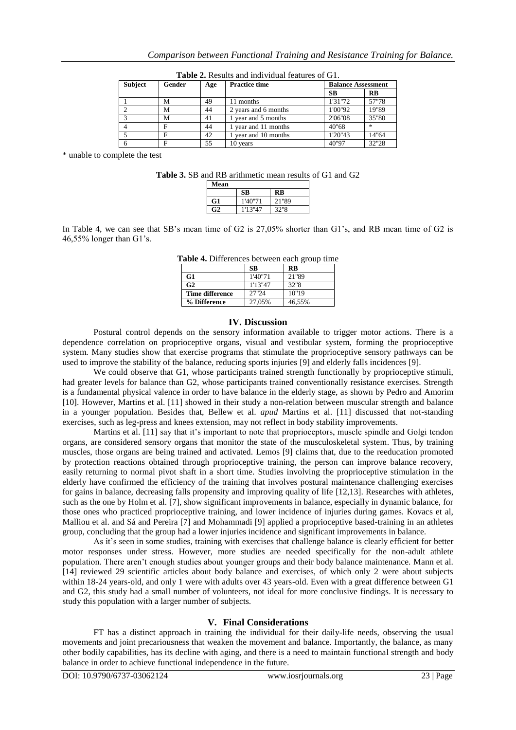| <b>Subject</b> | Gender | Age | <b>Practice time</b> | <b>Balance Assessment</b> |                                   |
|----------------|--------|-----|----------------------|---------------------------|-----------------------------------|
|                |        |     |                      | <b>SB</b>                 | $\overline{RB}$                   |
|                | М      | 49  | 11 months            | 1'31"72                   | 57"78                             |
|                | M      | 44  | 2 years and 6 months | 1'00"92                   | 19"89                             |
|                | M      | 41  | year and 5 months    | 2'06"08                   | 35"80                             |
|                | F      | 44  | year and 11 months   | 40"68                     | $\frac{d\mathbf{x}}{d\mathbf{x}}$ |
|                | Е      | 42  | 1 year and 10 months | 1'20"43                   | 14"64                             |
|                |        | 55  | 10 years             | 40"97                     | 32"28                             |

**Table 2.** Results and individual features of G1.

\* unable to complete the test

**Table 3.** SB and RB arithmetic mean results of G1 and G2

| Mean          |         |       |
|---------------|---------|-------|
|               | SВ      | RR    |
| G1            | 1'40"71 | 21"89 |
| $\mathbf{G2}$ | 1'13"47 | 32"8  |

In Table 4, we can see that SB's mean time of G2 is 27,05% shorter than G1's, and RB mean time of G2 is 46,55% longer than G1's.

| Table 4. Differences between each group time |  |  |  |  |
|----------------------------------------------|--|--|--|--|
|----------------------------------------------|--|--|--|--|

|                 | <b>SB</b> | <b>RB</b> |
|-----------------|-----------|-----------|
| G <sub>1</sub>  | 1'40"71   | 21"89     |
| G <sub>2</sub>  | 1'13''47  | 32"8      |
| Time difference | 27"24     | 10"19     |
| % Difference    | 27,05%    | 46,55%    |

#### **IV. Discussion**

Postural control depends on the sensory information available to trigger motor actions. There is a dependence correlation on proprioceptive organs, visual and vestibular system, forming the proprioceptive system. Many studies show that exercise programs that stimulate the proprioceptive sensory pathways can be used to improve the stability of the balance, reducing sports injuries [9] and elderly falls incidences [9].

We could observe that G1, whose participants trained strength functionally by proprioceptive stimuli, had greater levels for balance than G2, whose participants trained conventionally resistance exercises. Strength is a fundamental physical valence in order to have balance in the elderly stage, as shown by Pedro and Amorim [10]. However, Martins et al. [11] showed in their study a non-relation between muscular strength and balance in a younger population. Besides that, Bellew et al. *apud* Martins et al. [11] discussed that not-standing exercises, such as leg-press and knees extension, may not reflect in body stability improvements.

Martins et al. [11] say that it's important to note that proprioceptors, muscle spindle and Golgi tendon organs, are considered sensory organs that monitor the state of the musculoskeletal system. Thus, by training muscles, those organs are being trained and activated. Lemos [9] claims that, due to the reeducation promoted by protection reactions obtained through proprioceptive training, the person can improve balance recovery, easily returning to normal pivot shaft in a short time. Studies involving the proprioceptive stimulation in the elderly have confirmed the efficiency of the training that involves postural maintenance challenging exercises for gains in balance, decreasing falls propensity and improving quality of life [12,13]. Researches with athletes, such as the one by Holm et al. [7], show significant improvements in balance, especially in dynamic balance, for those ones who practiced proprioceptive training, and lower incidence of injuries during games. Kovacs et al, Malliou et al. and Sá and Pereira [7] and Mohammadi [9] applied a proprioceptive based-training in an athletes group, concluding that the group had a lower injuries incidence and significant improvements in balance.

As it's seen in some studies, training with exercises that challenge balance is clearly efficient for better motor responses under stress. However, more studies are needed specifically for the non-adult athlete population. There aren't enough studies about younger groups and their body balance maintenance. Mann et al. [14] reviewed 29 scientific articles about body balance and exercises, of which only 2 were about subjects within 18-24 years-old, and only 1 were with adults over 43 years-old. Even with a great difference between G1 and G2, this study had a small number of volunteers, not ideal for more conclusive findings. It is necessary to study this population with a larger number of subjects.

# **V. Final Considerations**

FT has a distinct approach in training the individual for their daily-life needs, observing the usual movements and joint precariousness that weaken the movement and balance. Importantly, the balance, as many other bodily capabilities, has its decline with aging, and there is a need to maintain functional strength and body balance in order to achieve functional independence in the future.